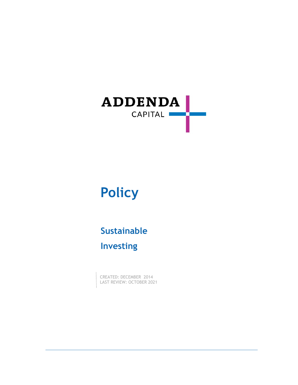

# **Policy**

## **Sustainable Investing**

CREATED: DECEMBER 2014 LAST REVIEW: OCTOBER 2021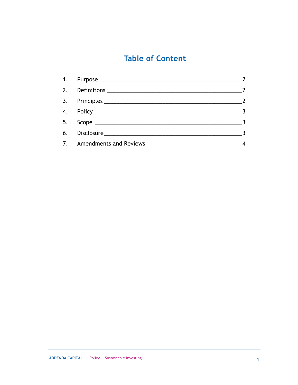## **Table of Content**

| 1. Purpose 2008 2009 2010 2020 2031 2040 2051 2052 2053 2054 2055 2056 2057 2058 2059 2059 2059 2059 2059 205 |                 |
|---------------------------------------------------------------------------------------------------------------|-----------------|
|                                                                                                               |                 |
|                                                                                                               |                 |
|                                                                                                               | $\frac{1}{2}$ 3 |
|                                                                                                               |                 |
|                                                                                                               |                 |
|                                                                                                               |                 |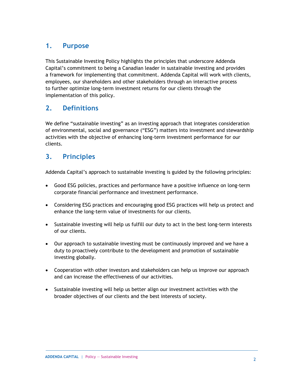#### <span id="page-2-0"></span>**1. Purpose**

This Sustainable Investing Policy highlights the principles that underscore Addenda Capital's commitment to being a Canadian leader in sustainable investing and provides a framework for implementing that commitment. Addenda Capital will work with clients, employees, our shareholders and other stakeholders through an interactive process to further optimize long-term investment returns for our clients through the implementation of this policy.

#### <span id="page-2-1"></span>**2. Definitions**

We define "sustainable investing" as an investing approach that integrates consideration of environmental, social and governance ("ESG") matters into investment and stewardship activities with the objective of enhancing long-term investment performance for our clients.

#### <span id="page-2-2"></span>**3. Principles**

Addenda Capital's approach to sustainable investing is guided by the following principles:

- Good ESG policies, practices and performance have a positive influence on long-term corporate financial performance and investment performance.
- Considering ESG practices and encouraging good ESG practices will help us protect and enhance the long-term value of investments for our clients.
- Sustainable investing will help us fulfill our duty to act in the best long-term interests of our clients.
- Our approach to sustainable investing must be continuously improved and we have a duty to proactively contribute to the development and promotion of sustainable investing globally.
- Cooperation with other investors and stakeholders can help us improve our approach and can increase the effectiveness of our activities.
- Sustainable investing will help us better align our investment activities with the broader objectives of our clients and the best interests of society.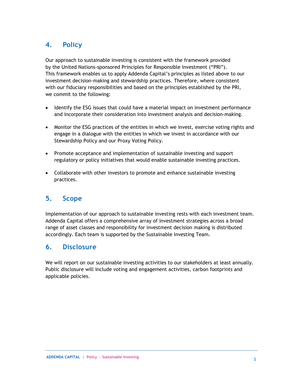#### <span id="page-3-0"></span>**4. Policy**

Our approach to sustainable investing is consistent with the framework provided by the United Nations-sponsored Principles for Responsible Investment ("PRI"). This framework enables us to apply Addenda Capital's principles as listed above to our investment decision-making and stewardship practices. Therefore, where consistent with our fiduciary responsibilities and based on the principles established by the PRI, we commit to the following:

- Identify the ESG issues that could have a material impact on investment performance and incorporate their consideration into investment analysis and decision-making.
- Monitor the ESG practices of the entities in which we invest, exercise voting rights and engage in a dialogue with the entities in which we invest in accordance with our Stewardship Policy and our Proxy Voting Policy.
- Promote acceptance and implementation of sustainable investing and support regulatory or policy initiatives that would enable sustainable investing practices.
- Collaborate with other investors to promote and enhance sustainable investing practices.

#### <span id="page-3-1"></span>**5. Scope**

Implementation of our approach to sustainable investing rests with each investment team. Addenda Capital offers a comprehensive array of investment strategies across a broad range of asset classes and responsibility for investment decision making is distributed accordingly. Each team is supported by the Sustainable Investing Team.

#### <span id="page-3-2"></span>**6. Disclosure**

We will report on our sustainable investing activities to our stakeholders at least annually. Public disclosure will include voting and engagement activities, carbon footprints and applicable policies.